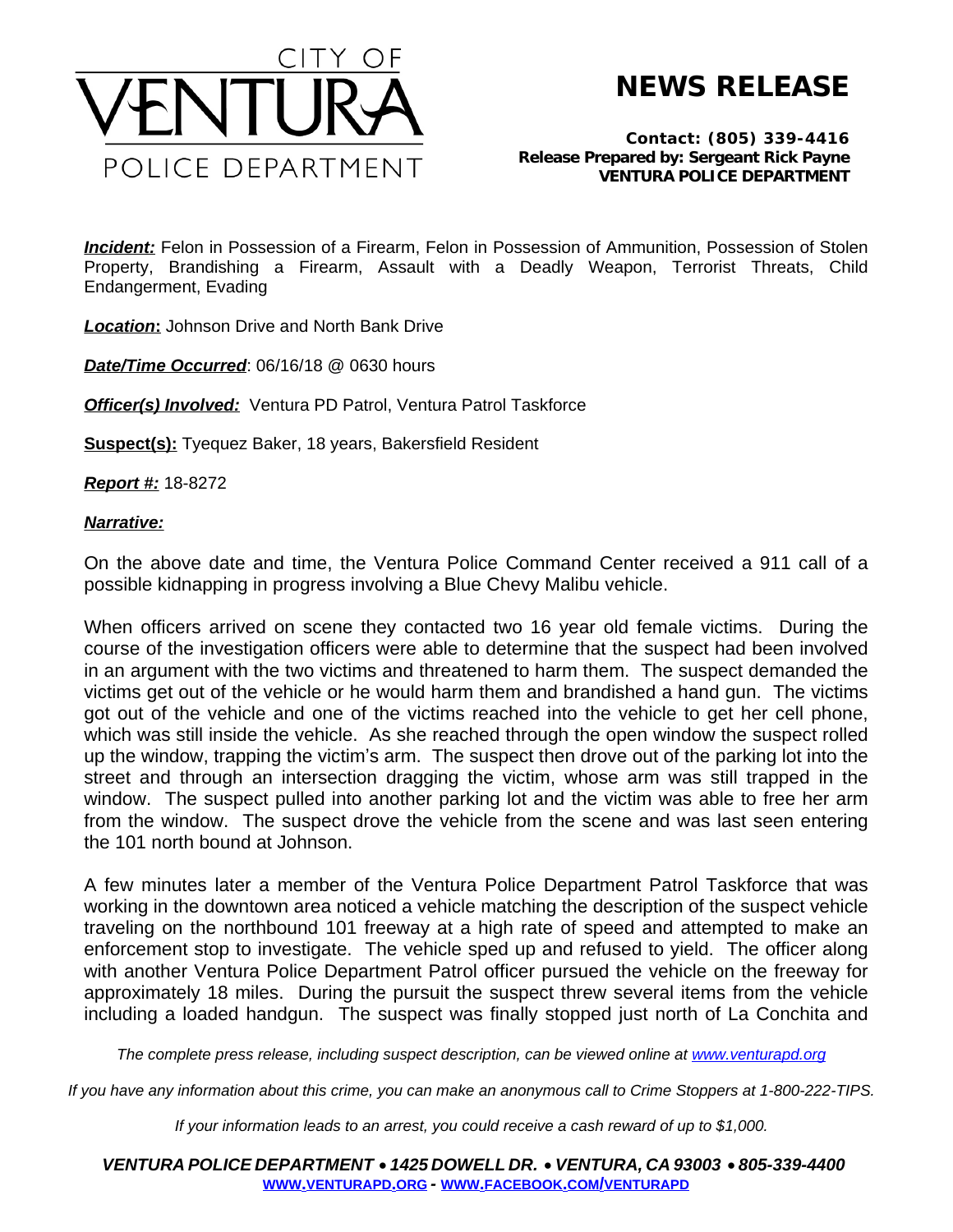

**NEWS RELEASE**

*Contact: (805) 339-4416 Release Prepared by: Sergeant Rick Payne* **VENTURA POLICE DEPARTMENT**

*Incident:* Felon in Possession of a Firearm, Felon in Possession of Ammunition, Possession of Stolen Property, Brandishing a Firearm, Assault with a Deadly Weapon, Terrorist Threats, Child Endangerment, Evading

*Location***:** Johnson Drive and North Bank Drive

*Date/Time Occurred*: 06/16/18 @ 0630 hours

**Officer(s) Involved:** Ventura PD Patrol, Ventura Patrol Taskforce

**Suspect(s):** Tyequez Baker, 18 years, Bakersfield Resident

*Report #:* 18-8272

## *Narrative:*

On the above date and time, the Ventura Police Command Center received a 911 call of a possible kidnapping in progress involving a Blue Chevy Malibu vehicle.

When officers arrived on scene they contacted two 16 year old female victims. During the course of the investigation officers were able to determine that the suspect had been involved in an argument with the two victims and threatened to harm them. The suspect demanded the victims get out of the vehicle or he would harm them and brandished a hand gun. The victims got out of the vehicle and one of the victims reached into the vehicle to get her cell phone, which was still inside the vehicle. As she reached through the open window the suspect rolled up the window, trapping the victim's arm. The suspect then drove out of the parking lot into the street and through an intersection dragging the victim, whose arm was still trapped in the window. The suspect pulled into another parking lot and the victim was able to free her arm from the window. The suspect drove the vehicle from the scene and was last seen entering the 101 north bound at Johnson.

A few minutes later a member of the Ventura Police Department Patrol Taskforce that was working in the downtown area noticed a vehicle matching the description of the suspect vehicle traveling on the northbound 101 freeway at a high rate of speed and attempted to make an enforcement stop to investigate. The vehicle sped up and refused to yield. The officer along with another Ventura Police Department Patrol officer pursued the vehicle on the freeway for approximately 18 miles. During the pursuit the suspect threw several items from the vehicle including a loaded handgun. The suspect was finally stopped just north of La Conchita and

*The complete press release, including suspect description, can be viewed online at [www.venturapd.org](http://www.venturapd.org)* 

*If you have any information about this crime, you can make an anonymous call to Crime Stoppers at 1-800-222-TIPS.*

*If your information leads to an arrest, you could receive a cash reward of up to \$1,000.*

*VENTURA POLICE DEPARTMENT* · *1425 DOWELL DR.* · *VENTURA, CA 93003* · *805-339-4400* **WWW.[VENTURAPD](http://www.venturapd.org).ORG** *-* **WWW.FACEBOOK.COM/[VENTURAPD](http://www.facebook.com/venturapd)**